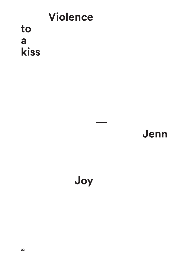## **Violence** to a kiss

## Jenn

## Joy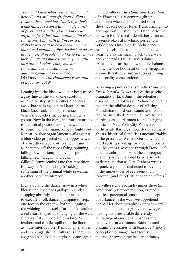*You don't know what you're dealing with here. I'm no ordinary girl from Indiana. I wanna be a machine. That's right Jack, a machine. A screen with a whole bunch of pixels and a smile on it. I don't want anything Jack. Just that, nothing. I'm clean. I'm strong. I'm worth it. I'm perfect. Nobody was born to be a machine more than me. I wanna outlive the flash of desire in the faces of people who like to buy things Jack. I'm gonna make them buy me until they die. A buying selling machine. I'm clean Jack, a clean machine and I'm gonna make a killing.* DD Dorvillier, *The Handsome Execution of a Flower*, 20101

Leaning into the black wall, her head traces a gray line as she walks one carefully articulated step after another. She faces away, bare skin against red latex shorts, black knee socks and plastic shoes. When she reaches the corner, the lights go out. Now in darkness, she runs, returning to her initial position along the wall to begin the walk again. Repeat. Lights out. Repeat. A slow organ lament wails against a blue video projected on the opposite wall of a wrestler's face. Cut to a new frame as he jumps off the ropes flying, spinning, falling, rewind, jumping, flying, spinning, falling, rewind again and again. Gilles Deleuze reminds me that repetition is always a "theft and a gift" taking something of the original while revealing another peculiar intimacy.2

Lights up and the dancer now in a white blouse and knee pads gallops in circles, stopping abruptly she lifts her arms to execute a folk dance – jumping to step, one foot to the other – rhythmic against the whining soundtrack. Turning to examine a red heart-shaped box hanging on the wall, she asks if it is chocolate or a bird. White feathers and candies spill onto the floor as mute interlocutors. Removing her shoes and stockings, she carefully rolls them into a gag and blindfold and begins to dance again.

DD Dorvillier's *The Handsome Execution of a Flower* (2010) conjures glitter and doom when cloaked in red satin she sings just out of tune. Transforming into androgynous wrestler, then Dada performer cut with Expressionist detail, her virtuosic presence plays at machinic perfection, yet descends into a darker dehiscence as she kneels, slides, stands, falls, now wearing only the mask, black underwear and knee pads. Her sensuous dance crescendos near the end when she balances in a white lace body suit on one leg against a sonic thrashing disintegration as timing and tonality come undone.

Betraying a punk eroticism, *The Handsome Execution of a Flower* cruises the psychodramatics of Jack Smith, the relentless disorienting narratives of Richard Foreman's theater, the nihilist despair of Missing Foundation's hard-core sound and iconic tag that inscribed 1933 on an overturned martini glass, dark omen to the changing politics of New York City. Witnessed as disparate flashes, silhouettes or so many ghosts, historical force rises uncomfortably in the present as Weimar Germany haunts late 1980s East Village or a bowing geisha doll becomes a wrestler through Dorvillier's fierce anachronism. Here the choreographic as aggressively relational tactic also acts as desublimation as Dan Graham writes of punk, a practice dedicated to reveling in the imperatives of representation to reveal (and reject) its deadening effects.3

Dorvillier's choreography mines these limit conditions (of representation, of media) to effect perceptual, emotional, conceptual disturbance in the ways we apprehend dance. Her choreography extends toward a phenomenal and cognitive knowledge, making histories visible differently as contingent emotional images rather than events at a distance. Such sensual proximity resonates with Jean-Luc Nancy's conception of image that "seizes" me and "throws in my face an intimacy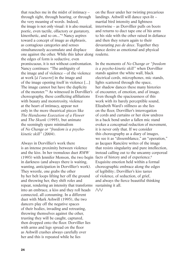that reaches me in the midst of intimacy – through sight, through hearing, or through the very meaning of words. Indeed, the image is not only visual: it is also musical, poetic, even tactile, olfactory or gustatory, kinesthetic, and so on..."4 Nancy aspires toward a concept of image as ekphrasis, as contagious categories and senses simultaneously accumulate and displace one against the other. While this labor along roulette. the edges of form is seductive, even promiscuous, it is not without confrontation. Nancy continues: "The ambiguity of the image and of violence – of the violence at work [*à l'oeuvre*] in the image and of the image opening itself in violence [...] The image cannot but have the duplicity of the monster."5 As witnessed in Dorvillier's choreography, these conflicting affiliations with beauty and monstrosity, violence at the heart of intimacy, appear not only in the more theatrical pieces like *The Handsome Execution of a Flower* and *The Skunk* (1995), but animate the seemingly spare minimalism of *No Change or "freedom is a psychokinetic skill"* (2004).

Always in Dorvillier's work there is an intense proximity between violence and the kiss. In her tremulous duet *RMW* (1993) with Jennifer Monson, the two begin in darkness (and always there is waiting, wanting, anticipation in Dorvillier's work). They wrestle, one grabs the other by her belt loops lifting her off the ground and throwing her, they shift roles and repeat, rendering an intensity that transforms into an embrace, a kiss and they roll heads connected, all consuming. In a different duet with Mark Ashwill (1995), the two dancers play off the negative spaces of their bodies, invading and retreating, throwing themselves against the other, trusting they will be caught, captured, then dropped onto the floor. Dorvillier lies with arms and legs spread on the floor as Ashwill crashes always carefully over her and this is repeated while he lies

on the floor under her twisting precarious landings. Ashwill will dance spot-lit – martial bird intensity and lightness intertwine – as Dorvillier pulls on boots and returns to duct tape one of his arms to his side with the other raised in defiance and then they return again to their devastating *pas de deux*. Together they dance desire as emotional and physical

In the moments of *No Change or "freedom is a psycho-kinetic skill"* when Dorvillier stands against the white wall, black electrical cords, microphones, mic stands, lights scattered through the space, her shadow dances these many histories of encounter, of emotion, and of image. Even though the spaciousness of this work with its barely perceptible sound, Elizabeth Ward's stillness as she lies on the floor, Dorvillier's interrogation of cords and curtains or her slow undress in a back bend under a fallen mic stand evokes a conceptual reduction of movement, it is never only that. If we consider this choreography as a diary of images, we see it as "dissemblance," an "operation," as Jacques Rancière writes of the image that resists singularity and pure intellection, instead calling out to the uncanny corporeal facts of history and of experience.<sup>6</sup> Exquisite emotion held within a formal choreographic embrace along the edges of legibility ; Dorvillier's kiss tastes of violence, of seduction, of grief, and always the fierce beautiful thinking sustaining it all.

 $\wedge\wedge\vee$